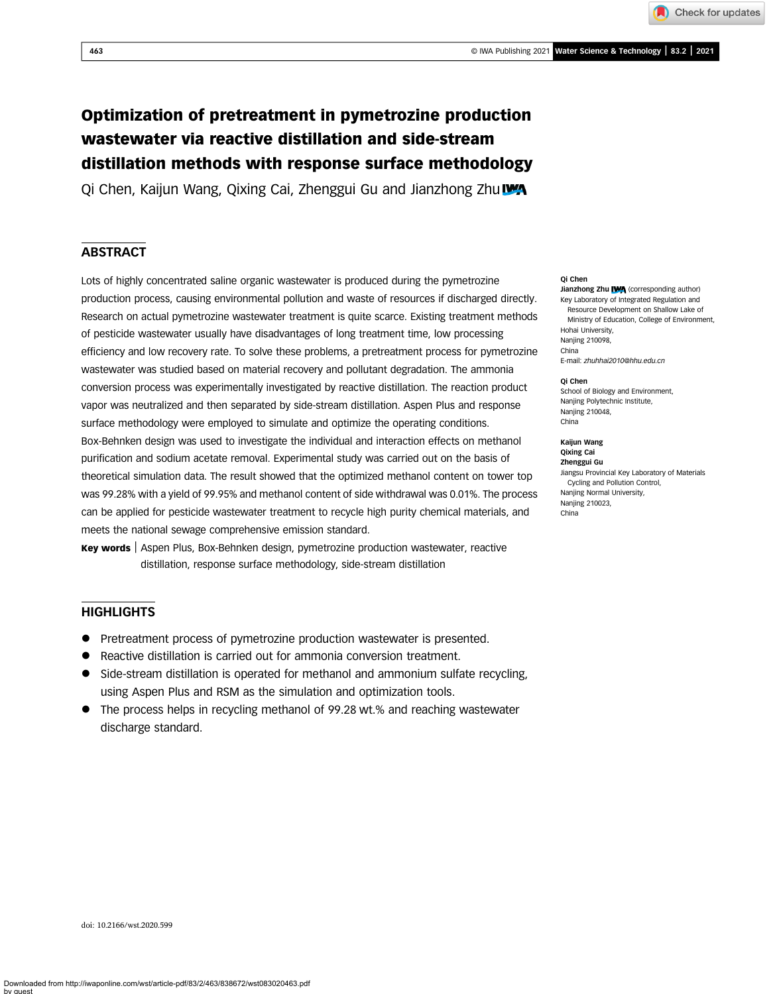# Optimization of pretreatment in pymetrozine production wastewater via reactive distillation and side-stream distillation methods with response surface methodology

Qi Chen, Kaijun Wang, Qixing Cai, Zhenggui Gu and Jianzhong Zhu

## **ABSTRACT**

Lots of highly concentrated saline organic wastewater is produced during the pymetrozine production process, causing environmental pollution and waste of resources if discharged directly. Research on actual pymetrozine wastewater treatment is quite scarce. Existing treatment methods of pesticide wastewater usually have disadvantages of long treatment time, low processing efficiency and low recovery rate. To solve these problems, a pretreatment process for pymetrozine wastewater was studied based on material recovery and pollutant degradation. The ammonia conversion process was experimentally investigated by reactive distillation. The reaction product vapor was neutralized and then separated by side-stream distillation. Aspen Plus and response surface methodology were employed to simulate and optimize the operating conditions. Box-Behnken design was used to investigate the individual and interaction effects on methanol purification and sodium acetate removal. Experimental study was carried out on the basis of theoretical simulation data. The result showed that the optimized methanol content on tower top was 99.28% with a yield of 99.95% and methanol content of side withdrawal was 0.01%. The process can be applied for pesticide wastewater treatment to recycle high purity chemical materials, and meets the national sewage comprehensive emission standard.

Key words | Aspen Plus, Box-Behnken design, pymetrozine production wastewater, reactive distillation, response surface methodology, side-stream distillation

## **HIGHLIGHTS**

- Pretreatment process of pymetrozine production wastewater is presented.
- Reactive distillation is carried out for ammonia conversion treatment.
- Side-stream distillation is operated for methanol and ammonium sulfate recycling, using Aspen Plus and RSM as the simulation and optimization tools.
- The process helps in recycling methanol of 99.28 wt.% and reaching wastewater discharge standard.

#### Qi Chen

Jianzhong Zhu IVA (corresponding author) Key Laboratory of Integrated Regulation and Resource Development on Shallow Lake of Ministry of Education, College of Environment, Hohai University, Nanjing 210098,

E-mail: [zhuhhai2010@hhu.edu.cn](mailto:zhuhhai2010@hhu.edu.cn)

#### Qi Chen

China

School of Biology and Environment, Nanjing Polytechnic Institute, Nanjing 210048. China

Kaijun Wang Qixing Cai Zhenggui Gu Jiangsu Provincial Key Laboratory of Materials Cycling and Pollution Control, Nanjing Normal University, Nanjing 210023, China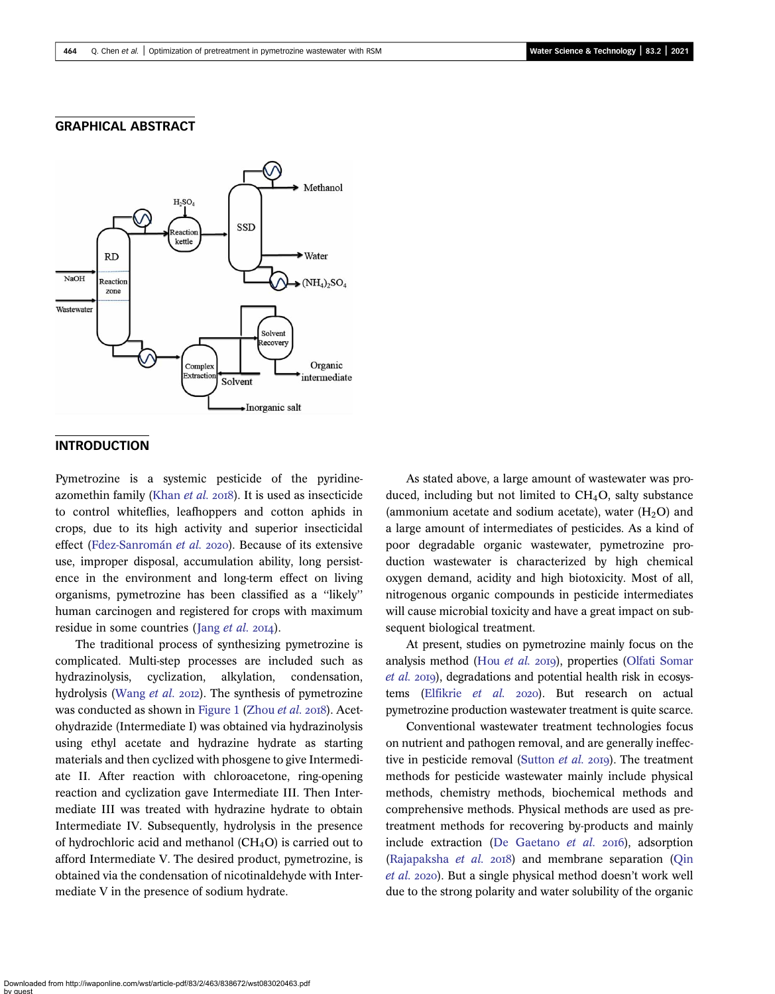## GRAPHICAL ABSTRACT



## **INTRODUCTION**

Pymetrozine is a systemic pesticide of the pyridine-azomethin family ([Khan](#page-11-0) et al.  $2018$ ). It is used as insecticide to control whiteflies, leafhoppers and cotton aphids in crops, due to its high activity and superior insecticidal effect ([Fdez-Sanromán](#page-11-0) et al. 2020). Because of its extensive use, improper disposal, accumulation ability, long persistence in the environment and long-term effect on living organisms, pymetrozine has been classified as a ''likely'' human carcinogen and registered for crops with maximum residue in some countries (Jang  $et$   $al.$  2014).

The traditional process of synthesizing pymetrozine is complicated. Multi-step processes are included such as hydrazinolysis, cyclization, alkylation, condensation, hydrolysis ([Wang](#page-11-0) et al. 2012). The synthesis of pymetrozine was conducted as shown in [Figure 1](#page-2-0) [\(Zhou](#page-11-0) et al. 2018). Acetohydrazide (Intermediate I) was obtained via hydrazinolysis using ethyl acetate and hydrazine hydrate as starting materials and then cyclized with phosgene to give Intermediate II. After reaction with chloroacetone, ring-opening reaction and cyclization gave Intermediate III. Then Intermediate III was treated with hydrazine hydrate to obtain Intermediate IV. Subsequently, hydrolysis in the presence of hydrochloric acid and methanol  $(CH_4O)$  is carried out to afford Intermediate V. The desired product, pymetrozine, is obtained via the condensation of nicotinaldehyde with Intermediate V in the presence of sodium hydrate.

As stated above, a large amount of wastewater was produced, including but not limited to  $CH<sub>4</sub>O$ , salty substance (ammonium acetate and sodium acetate), water  $(H<sub>2</sub>O)$  and a large amount of intermediates of pesticides. As a kind of poor degradable organic wastewater, pymetrozine production wastewater is characterized by high chemical oxygen demand, acidity and high biotoxicity. Most of all, nitrogenous organic compounds in pesticide intermediates will cause microbial toxicity and have a great impact on subsequent biological treatment.

At present, studies on pymetrozine mainly focus on the analysis method (Hou [et al.](#page-11-0) 2019), properties ([Olfati Somar](#page-11-0)  $et$  al. 2019), degradations and potential health risk in ecosys-tems ([Elfikrie](#page-11-0) et al. 2020). But research on actual pymetrozine production wastewater treatment is quite scarce.

Conventional wastewater treatment technologies focus on nutrient and pathogen removal, and are generally ineffec-tive in pesticide removal ([Sutton](#page-11-0) et al. 2019). The treatment methods for pesticide wastewater mainly include physical methods, chemistry methods, biochemical methods and comprehensive methods. Physical methods are used as pretreatment methods for recovering by-products and mainly include extraction [\(De Gaetano](#page-11-0)  $et$   $al.$   $2016$ ), adsorption ([Rajapaksha](#page-11-0) et al.  $2018$ ) and membrane separation ([Qin](#page-11-0) [et al.](#page-11-0) 2020). But a single physical method doesn't work well due to the strong polarity and water solubility of the organic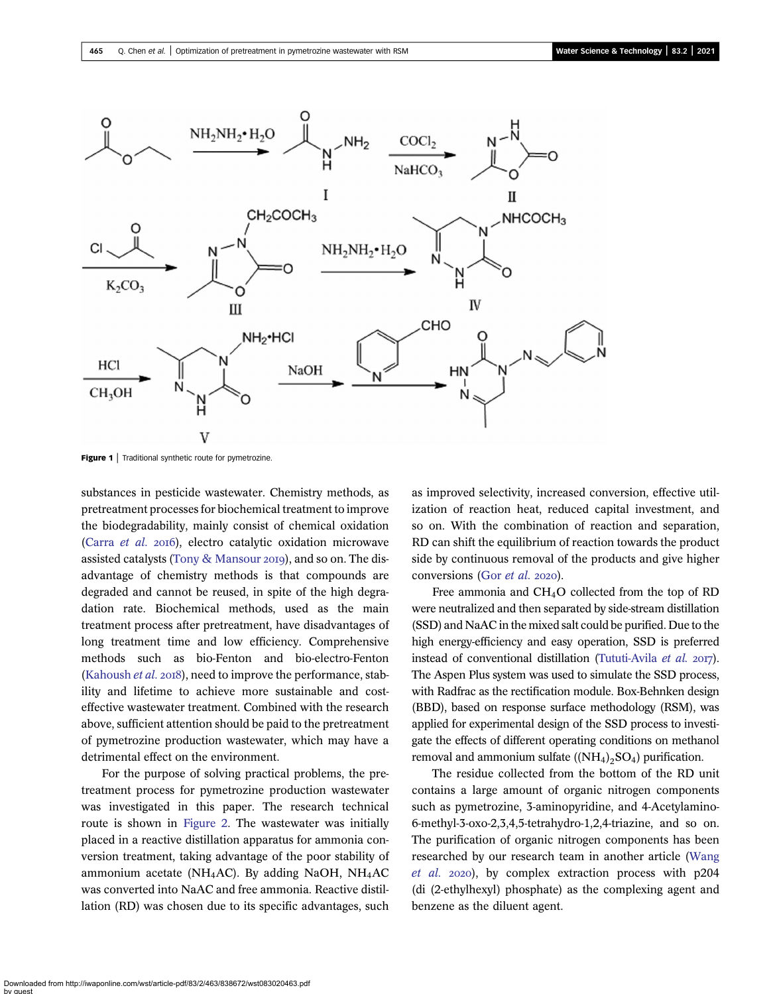<span id="page-2-0"></span>

Figure 1 | Traditional synthetic route for pymetrozine.

substances in pesticide wastewater. Chemistry methods, as pretreatment processes for biochemical treatment to improve the biodegradability, mainly consist of chemical oxidation [\(Carra](#page-10-0) et al. 2016), electro catalytic oxidation microwave assisted catalysts [\(Tony & Mansour](#page-11-0) 2019), and so on. The disadvantage of chemistry methods is that compounds are degraded and cannot be reused, in spite of the high degradation rate. Biochemical methods, used as the main treatment process after pretreatment, have disadvantages of long treatment time and low efficiency. Comprehensive methods such as bio-Fenton and bio-electro-Fenton [\(Kahoush](#page-11-0) et al. 2018), need to improve the performance, stability and lifetime to achieve more sustainable and costeffective wastewater treatment. Combined with the research above, sufficient attention should be paid to the pretreatment of pymetrozine production wastewater, which may have a detrimental effect on the environment.

For the purpose of solving practical problems, the pretreatment process for pymetrozine production wastewater was investigated in this paper. The research technical route is shown in [Figure 2](#page-3-0). The wastewater was initially placed in a reactive distillation apparatus for ammonia conversion treatment, taking advantage of the poor stability of ammonium acetate (NH<sub>4</sub>AC). By adding NaOH, NH<sub>4</sub>AC was converted into NaAC and free ammonia. Reactive distillation (RD) was chosen due to its specific advantages, such as improved selectivity, increased conversion, effective utilization of reaction heat, reduced capital investment, and so on. With the combination of reaction and separation, RD can shift the equilibrium of reaction towards the product side by continuous removal of the products and give higher conversions (Gor [et al.](#page-11-0) 2020).

Free ammonia and CH4O collected from the top of RD were neutralized and then separated by side-stream distillation (SSD) and NaAC in the mixed salt could be purified. Due to the high energy-efficiency and easy operation, SSD is preferred instead of conventional distillation ([Tututi-Avila](#page-11-0)  $et$   $al.$   $20T$ ). The Aspen Plus system was used to simulate the SSD process, with Radfrac as the rectification module. Box-Behnken design (BBD), based on response surface methodology (RSM), was applied for experimental design of the SSD process to investigate the effects of different operating conditions on methanol removal and ammonium sulfate  $((NH<sub>4</sub>)<sub>2</sub>SO<sub>4</sub>)$  purification.

The residue collected from the bottom of the RD unit contains a large amount of organic nitrogen components such as pymetrozine, 3-aminopyridine, and 4-Acetylamino-6-methyl-3-oxo-2,3,4,5-tetrahydro-1,2,4-triazine, and so on. The purification of organic nitrogen components has been researched by our research team in another article [\(Wang](#page-11-0) [et al.](#page-11-0) 2020), by complex extraction process with p204 (di (2-ethylhexyl) phosphate) as the complexing agent and benzene as the diluent agent.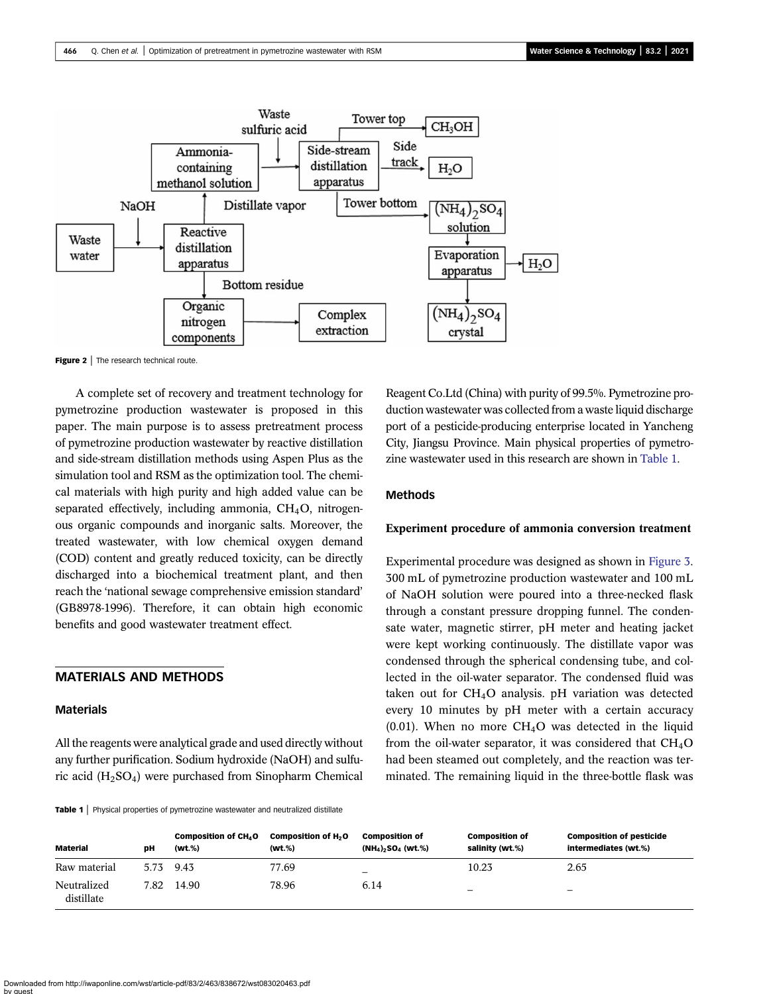<span id="page-3-0"></span>

Figure 2 | The research technical route.

A complete set of recovery and treatment technology for pymetrozine production wastewater is proposed in this paper. The main purpose is to assess pretreatment process of pymetrozine production wastewater by reactive distillation and side-stream distillation methods using Aspen Plus as the simulation tool and RSM as the optimization tool. The chemical materials with high purity and high added value can be separated effectively, including ammonia,  $CH<sub>4</sub>O$ , nitrogenous organic compounds and inorganic salts. Moreover, the treated wastewater, with low chemical oxygen demand (COD) content and greatly reduced toxicity, can be directly discharged into a biochemical treatment plant, and then reach the 'national sewage comprehensive emission standard' (GB8978-1996). Therefore, it can obtain high economic benefits and good wastewater treatment effect.

## MATERIALS AND METHODS

## Materials

All the reagents were analytical grade and used directly without any further purification. Sodium hydroxide (NaOH) and sulfuric acid (H2SO4) were purchased from Sinopharm Chemical

Table 1 | Physical properties of pymetrozine wastewater and neutralized distillate

Reagent Co.Ltd (China) with purity of 99.5%. Pymetrozine production wastewater was collected from a waste liquid discharge port of a pesticide-producing enterprise located in Yancheng City, Jiangsu Province. Main physical properties of pymetrozine wastewater used in this research are shown in Table 1.

#### Methods

#### Experiment procedure of ammonia conversion treatment

Experimental procedure was designed as shown in [Figure 3](#page-4-0). 300 mL of pymetrozine production wastewater and 100 mL of NaOH solution were poured into a three-necked flask through a constant pressure dropping funnel. The condensate water, magnetic stirrer, pH meter and heating jacket were kept working continuously. The distillate vapor was condensed through the spherical condensing tube, and collected in the oil-water separator. The condensed fluid was taken out for CH4O analysis. pH variation was detected every 10 minutes by pH meter with a certain accuracy  $(0.01)$ . When no more CH<sub>4</sub>O was detected in the liquid from the oil-water separator, it was considered that  $CH<sub>4</sub>O$ had been steamed out completely, and the reaction was terminated. The remaining liquid in the three-bottle flask was

| <b>Material</b>           | DH   | Composition of CH <sub>4</sub> O<br>(wt.%) | Composition of H <sub>2</sub> O<br>(wt.%) | <b>Composition of</b><br>$(NH_4)$ <sub>2</sub> SO <sub>4</sub> (wt.%) | <b>Composition of</b><br>salinity (wt.%) | <b>Composition of pesticide</b><br>intermediates (wt.%) |
|---------------------------|------|--------------------------------------------|-------------------------------------------|-----------------------------------------------------------------------|------------------------------------------|---------------------------------------------------------|
| Raw material              | 5.73 | 9.43                                       | 77.69                                     | -                                                                     | 10.23                                    | 2.65                                                    |
| Neutralized<br>distillate | 7.82 | 14.90                                      | 78.96                                     | 6.14                                                                  | $\overline{\phantom{0}}$                 | $\overline{\phantom{0}}$                                |

Downloaded from http://iwaponline.com/wst/article-pdf/83/2/463/838672/wst083020463.pdf by guest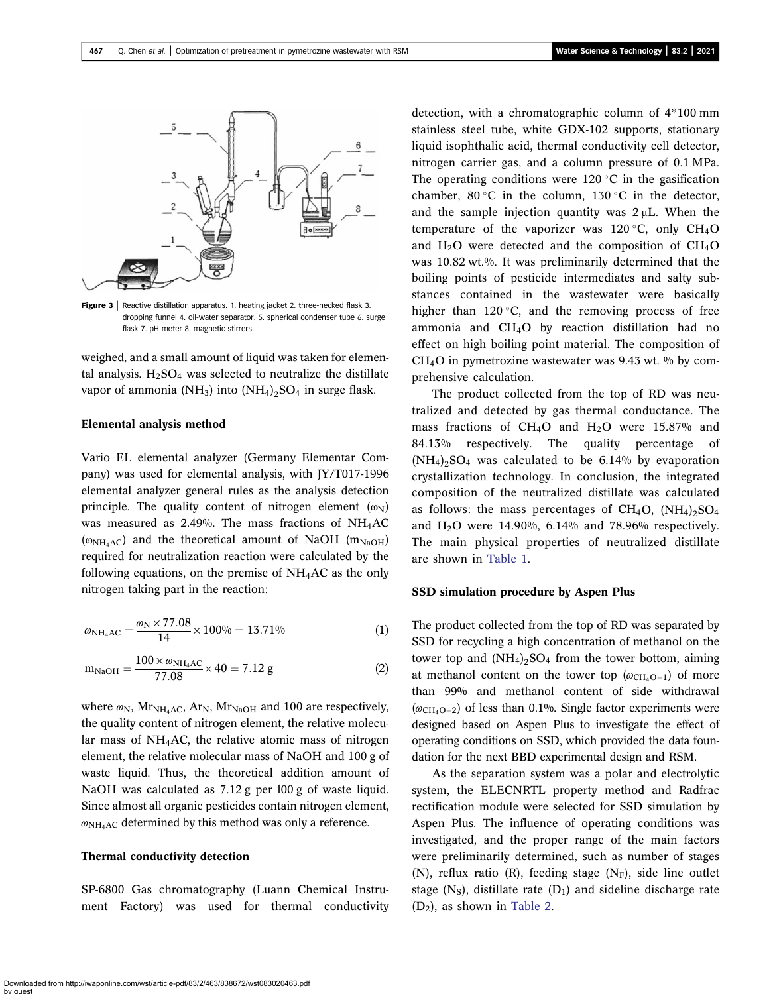<span id="page-4-0"></span>

Figure 3 | Reactive distillation apparatus. 1. heating jacket 2. three-necked flask 3. dropping funnel 4. oil-water separator. 5. spherical condenser tube 6. surge flask 7. pH meter 8. magnetic stirrers.

weighed, and a small amount of liquid was taken for elemental analysis.  $H_2SO_4$  was selected to neutralize the distillate vapor of ammonia (NH<sub>3</sub>) into  $(NH_4)$ <sub>2</sub>SO<sub>4</sub> in surge flask.

#### Elemental analysis method

Vario EL elemental analyzer (Germany Elementar Company) was used for elemental analysis, with JY/T017-1996 elemental analyzer general rules as the analysis detection principle. The quality content of nitrogen element  $(\omega_N)$ was measured as 2.49%. The mass fractions of  $NH<sub>4</sub>AC$  $(\omega_{NH_4AC})$  and the theoretical amount of NaOH (m<sub>NaOH</sub>) required for neutralization reaction were calculated by the following equations, on the premise of  $NH<sub>4</sub>AC$  as the only nitrogen taking part in the reaction:

$$
\omega_{\text{NH}_4\text{AC}} = \frac{\omega_{\text{N}} \times 77.08}{14} \times 100\% = 13.71\% \tag{1}
$$

$$
m_{\text{NaOH}} = \frac{100 \times \omega_{\text{NH}_4\text{AC}}}{77.08} \times 40 = 7.12 \text{ g}
$$
 (2)

where  $\omega_{N}$ , Mr<sub>NH<sub>4</sub>AC, Ar<sub>N</sub>, Mr<sub>NaOH</sub> and 100 are respectively,</sub> the quality content of nitrogen element, the relative molecular mass of NH4AC, the relative atomic mass of nitrogen element, the relative molecular mass of NaOH and 100 g of waste liquid. Thus, the theoretical addition amount of NaOH was calculated as 7.12 g per l00 g of waste liquid. Since almost all organic pesticides contain nitrogen element,  $\omega_{\text{NH}_4\text{AC}}$  determined by this method was only a reference.

#### Thermal conductivity detection

SP-6800 Gas chromatography (Luann Chemical Instrument Factory) was used for thermal conductivity detection, with a chromatographic column of 4\*100 mm stainless steel tube, white GDX-102 supports, stationary liquid isophthalic acid, thermal conductivity cell detector, nitrogen carrier gas, and a column pressure of 0.1 MPa. The operating conditions were  $120\textdegree C$  in the gasification chamber, 80 °C in the column, 130 °C in the detector, and the sample injection quantity was 2 μL. When the temperature of the vaporizer was  $120^{\circ}$ C, only CH<sub>4</sub>O and  $H_2O$  were detected and the composition of  $CH_4O$ was 10.82 wt.%. It was preliminarily determined that the boiling points of pesticide intermediates and salty substances contained in the wastewater were basically higher than  $120 \degree C$ , and the removing process of free ammonia and CH4O by reaction distillation had no effect on high boiling point material. The composition of  $CH<sub>4</sub>O$  in pymetrozine wastewater was 9.43 wt. % by comprehensive calculation.

The product collected from the top of RD was neutralized and detected by gas thermal conductance. The mass fractions of CH<sub>4</sub>O and H<sub>2</sub>O were 15.87% and 84.13% respectively. The quality percentage of  $(NH_4)$ <sub>2</sub>SO<sub>4</sub> was calculated to be 6.14% by evaporation crystallization technology. In conclusion, the integrated composition of the neutralized distillate was calculated as follows: the mass percentages of  $CH_4O$ ,  $(NH_4)_2SO_4$ and  $H_2O$  were 14.90%, 6.14% and 78.96% respectively. The main physical properties of neutralized distillate are shown in [Table 1](#page-3-0).

#### SSD simulation procedure by Aspen Plus

The product collected from the top of RD was separated by SSD for recycling a high concentration of methanol on the tower top and  $(NH_4)_2SO_4$  from the tower bottom, aiming at methanol content on the tower top  $(\omega_{CH_4O-1})$  of more than 99% and methanol content of side withdrawal  $(\omega_{\text{CH}_4O-2})$  of less than 0.1%. Single factor experiments were designed based on Aspen Plus to investigate the effect of operating conditions on SSD, which provided the data foundation for the next BBD experimental design and RSM.

As the separation system was a polar and electrolytic system, the ELECNRTL property method and Radfrac rectification module were selected for SSD simulation by Aspen Plus. The influence of operating conditions was investigated, and the proper range of the main factors were preliminarily determined, such as number of stages (N), reflux ratio (R), feeding stage  $(N_F)$ , side line outlet stage  $(N<sub>S</sub>)$ , distillate rate  $(D<sub>1</sub>)$  and sideline discharge rate  $(D_2)$ , as shown in [Table 2.](#page-5-0)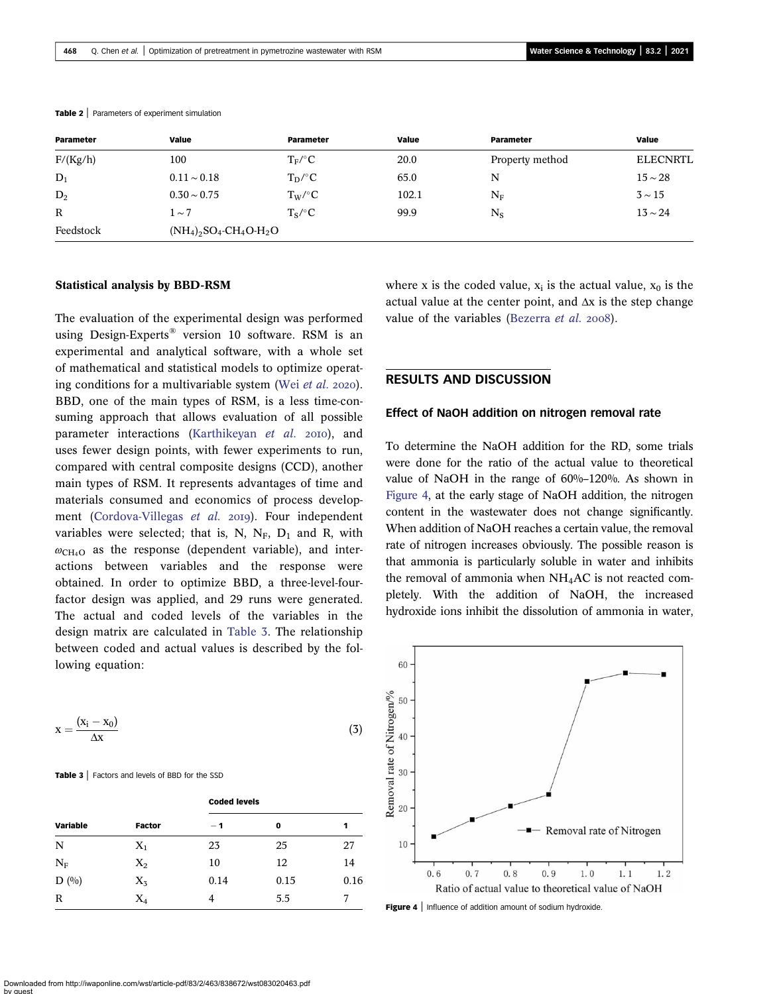| Parameter    | Value            | Parameter                                          | Value | Parameter       | Value           |  |  |  |
|--------------|------------------|----------------------------------------------------|-------|-----------------|-----------------|--|--|--|
| F/(Kg/h)     | 100              | $T_F$ /°C                                          | 20.0  | Property method | <b>ELECNRTL</b> |  |  |  |
| $D_1$        | $0.11 \sim 0.18$ | $T_D$ /°C                                          | 65.0  | N               | $15 \sim 28$    |  |  |  |
| $D_2$        | $0.30 \sim 0.75$ | $T_W$ /°C                                          | 102.1 | $\rm N_F$       | $3 \sim 15$     |  |  |  |
| $\mathbb{R}$ | $1 \sim 7$       | $T_S$ /°C                                          | 99.9  | $N_S$           | $13 \sim 24$    |  |  |  |
| Feedstock    |                  | $(NH_4)_2SO_4$ -CH <sub>4</sub> O-H <sub>2</sub> O |       |                 |                 |  |  |  |

#### <span id="page-5-0"></span>Table 2 | Parameters of experiment simulation

#### Statistical analysis by BBD-RSM

The evaluation of the experimental design was performed using Design-Experts® version 10 software. RSM is an experimental and analytical software, with a whole set of mathematical and statistical models to optimize operating conditions for a multivariable system (Wei [et al.](#page-11-0)  $2020$ ). BBD, one of the main types of RSM, is a less time-consuming approach that allows evaluation of all possible parameter interactions [\(Karthikeyan](#page-11-0) et al. 2010), and uses fewer design points, with fewer experiments to run, compared with central composite designs (CCD), another main types of RSM. It represents advantages of time and materials consumed and economics of process develop-ment ([Cordova-Villegas](#page-10-0) et al. 2019). Four independent variables were selected; that is, N,  $N_F$ ,  $D_1$  and R, with  $\omega_{\text{CH}_4O}$  as the response (dependent variable), and interactions between variables and the response were obtained. In order to optimize BBD, a three-level-fourfactor design was applied, and 29 runs were generated. The actual and coded levels of the variables in the design matrix are calculated in Table 3. The relationship between coded and actual values is described by the following equation:

$$
x = \frac{(x_i - x_0)}{\Delta x} \tag{3}
$$

Table 3 | Factors and levels of BBD for the SSD

|          |               | <b>Coded levels</b> |      |      |  |  |  |
|----------|---------------|---------------------|------|------|--|--|--|
| Variable | <b>Factor</b> | $-1$                | 0    | 1    |  |  |  |
| N        | $X_1$         | 23                  | 25   | 27   |  |  |  |
| $N_F$    | $X_2$         | 10                  | 12   | 14   |  |  |  |
| $D($ %)  | $X_5$         | 0.14                | 0.15 | 0.16 |  |  |  |
| R        | $\rm X_4$     | 4                   | 5.5  |      |  |  |  |

where x is the coded value,  $x_i$  is the actual value,  $x_0$  is the actual value at the center point, and  $\Delta x$  is the step change value of the variables [\(Bezerra](#page-10-0) et al. 2008).

## RESULTS AND DISCUSSION

#### Effect of NaOH addition on nitrogen removal rate

To determine the NaOH addition for the RD, some trials were done for the ratio of the actual value to theoretical value of NaOH in the range of 60%–120%. As shown in Figure 4, at the early stage of NaOH addition, the nitrogen content in the wastewater does not change significantly. When addition of NaOH reaches a certain value, the removal rate of nitrogen increases obviously. The possible reason is that ammonia is particularly soluble in water and inhibits the removal of ammonia when  $NH<sub>4</sub>AC$  is not reacted completely. With the addition of NaOH, the increased hydroxide ions inhibit the dissolution of ammonia in water,



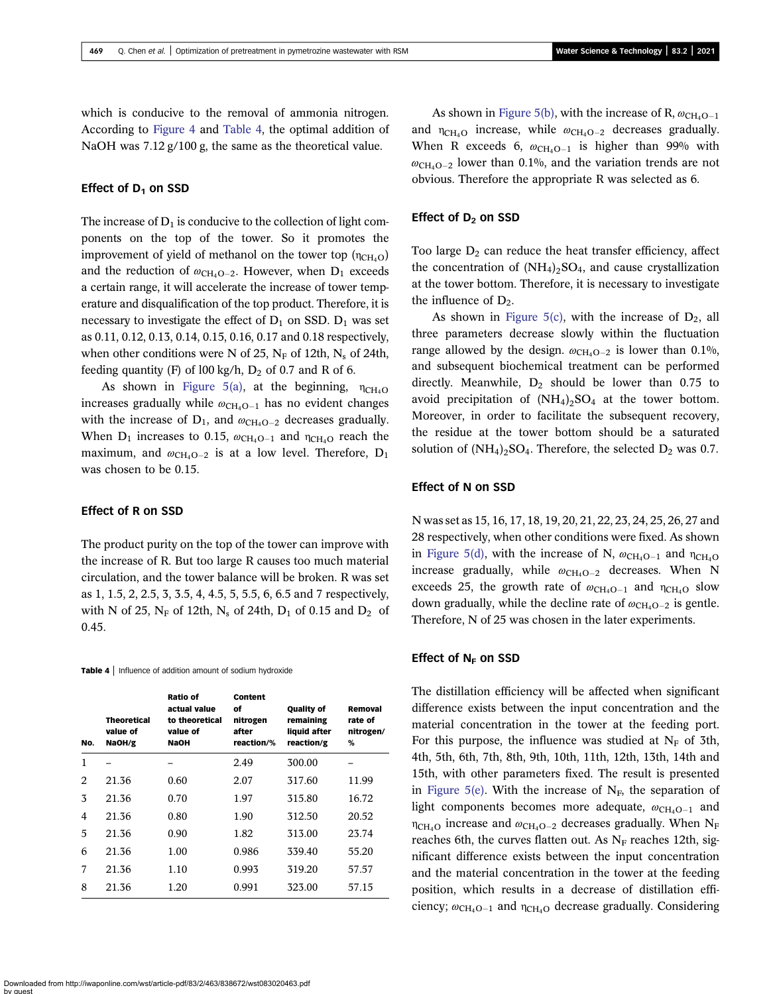which is conducive to the removal of ammonia nitrogen. According to [Figure 4](#page-5-0) and Table 4, the optimal addition of NaOH was 7.12 g/100 g, the same as the theoretical value.

#### Effect of  $D_1$  on SSD

The increase of  $D_1$  is conducive to the collection of light components on the top of the tower. So it promotes the improvement of yield of methanol on the tower top  $(\eta_{CH_4O})$ and the reduction of  $\omega_{\text{CH}_4O-2}$ . However, when D<sub>1</sub> exceeds a certain range, it will accelerate the increase of tower temperature and disqualification of the top product. Therefore, it is necessary to investigate the effect of  $D_1$  on SSD.  $D_1$  was set as 0.11, 0.12, 0.13, 0.14, 0.15, 0.16, 0.17 and 0.18 respectively, when other conditions were N of 25,  $N_F$  of 12th,  $N_s$  of 24th, feeding quantity (F) of 100 kg/h,  $D_2$  of 0.7 and R of 6.

As shown in [Figure 5\(a\)](#page-7-0), at the beginning,  $\eta_{\text{CH}_4O}$ increases gradually while  $\omega_{\text{CH}_4O-1}$  has no evident changes with the increase of  $D_1$ , and  $\omega_{CH_4O-2}$  decreases gradually. When  $D_1$  increases to 0.15,  $\omega_{CH_4O-1}$  and  $\eta_{CH_4O}$  reach the maximum, and  $\omega_{CH_4O-2}$  is at a low level. Therefore, D<sub>1</sub> was chosen to be 0.15.

## Effect of R on SSD

The product purity on the top of the tower can improve with the increase of R. But too large R causes too much material circulation, and the tower balance will be broken. R was set as 1, 1.5, 2, 2.5, 3, 3.5, 4, 4.5, 5, 5.5, 6, 6.5 and 7 respectively, with N of 25,  $N_F$  of 12th,  $N_s$  of 24th,  $D_1$  of 0.15 and  $D_2$  of 0.45.

Table 4 | Influence of addition amount of sodium hydroxide

| No. | <b>Theoretical</b><br>value of<br>NaOH/g | <b>Ratio of</b><br>actual value<br>to theoretical<br>value of<br><b>NaOH</b> | Content<br>οf<br>nitrogen<br>after<br>reaction/% | <b>Quality of</b><br>remaining<br>liquid after<br>reaction/g | Removal<br>rate of<br>nitrogen/<br>% |
|-----|------------------------------------------|------------------------------------------------------------------------------|--------------------------------------------------|--------------------------------------------------------------|--------------------------------------|
| 1   |                                          |                                                                              | 2.49                                             | 300.00                                                       |                                      |
| 2   | 21.36                                    | 0.60                                                                         | 2.07                                             | 317.60                                                       | 11.99                                |
| 3   | 21.36                                    | 0.70                                                                         | 1.97                                             | 315.80                                                       | 16.72                                |
| 4   | 21.36                                    | 0.80                                                                         | 1.90                                             | 312.50                                                       | 20.52                                |
| 5   | 21.36                                    | 0.90                                                                         | 1.82                                             | 313.00                                                       | 23.74                                |
| 6   | 21.36                                    | 1.00                                                                         | 0.986                                            | 339.40                                                       | 55.20                                |
| 7   | 21.36                                    | 1.10                                                                         | 0.993                                            | 319.20                                                       | 57.57                                |
| 8   | 21.36                                    | 1.20                                                                         | 0.991                                            | 323.00                                                       | 57.15                                |

As shown in [Figure 5\(b\)](#page-7-0), with the increase of R,  $\omega_{CH_4O-1}$ and  $\eta_{\text{CH}_4O}$  increase, while  $\omega_{\text{CH}_4O-2}$  decreases gradually. When R exceeds 6,  $\omega_{\text{CH}_4O-1}$  is higher than 99% with  $\omega_{\text{CH}_4O-2}$  lower than 0.1%, and the variation trends are not obvious. Therefore the appropriate R was selected as 6.

#### Effect of  $D_2$  on SSD

Too large  $D_2$  can reduce the heat transfer efficiency, affect the concentration of  $(NH_4)_2SO_4$ , and cause crystallization at the tower bottom. Therefore, it is necessary to investigate the influence of  $D_2$ .

As shown in [Figure 5\(c\)](#page-7-0), with the increase of  $D_2$ , all three parameters decrease slowly within the fluctuation range allowed by the design.  $\omega_{\text{CH}_4O-2}$  is lower than 0.1%, and subsequent biochemical treatment can be performed directly. Meanwhile,  $D_2$  should be lower than 0.75 to avoid precipitation of  $(NH_4)_2SO_4$  at the tower bottom. Moreover, in order to facilitate the subsequent recovery, the residue at the tower bottom should be a saturated solution of  $(NH_4)_2SO_4$ . Therefore, the selected  $D_2$  was 0.7.

#### Effect of N on SSD

N was set as 15, 16, 17, 18, 19, 20, 21, 22, 23, 24, 25, 26, 27 and 28 respectively, when other conditions were fixed. As shown in [Figure 5\(d\)](#page-7-0), with the increase of N,  $\omega_{\text{CH}_4O-1}$  and  $\eta_{\text{CH}_4O}$ increase gradually, while  $\omega_{\text{CH}_4O-2}$  decreases. When N exceeds 25, the growth rate of  $\omega_{\text{CH}_4O-1}$  and  $\eta_{\text{CH}_4O}$  slow down gradually, while the decline rate of  $\omega_{\text{CH}_4O-2}$  is gentle. Therefore, N of 25 was chosen in the later experiments.

#### Effect of  $N_F$  on SSD

The distillation efficiency will be affected when significant difference exists between the input concentration and the material concentration in the tower at the feeding port. For this purpose, the influence was studied at  $N_F$  of 3th, 4th, 5th, 6th, 7th, 8th, 9th, 10th, 11th, 12th, 13th, 14th and 15th, with other parameters fixed. The result is presented in [Figure 5\(e\)](#page-7-0). With the increase of  $N_F$ , the separation of light components becomes more adequate,  $\omega_{CH_4O-1}$  and  $\eta_{\rm CH_4O}$  increase and  $\omega_{\rm CH_4O-2}$  decreases gradually. When N<sub>F</sub> reaches 6th, the curves flatten out. As  $N_F$  reaches 12th, significant difference exists between the input concentration and the material concentration in the tower at the feeding position, which results in a decrease of distillation efficiency;  $\omega_{\text{CH}_4\text{O}-1}$  and  $\eta_{\text{CH}_4\text{O}}$  decrease gradually. Considering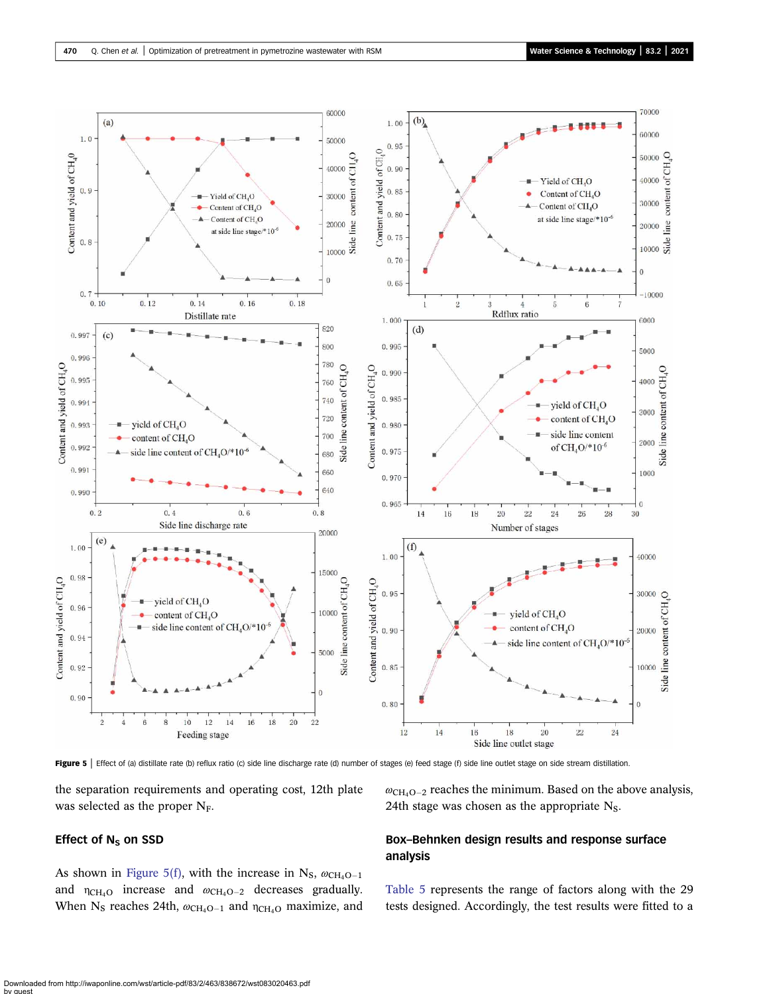<span id="page-7-0"></span>

Figure 5 | Effect of (a) distillate rate (b) reflux ratio (c) side line discharge rate (d) number of stages (e) feed stage (f) side line outlet stage on side stream distillation.

the separation requirements and operating cost, 12th plate was selected as the proper N<sub>F</sub>.

## Effect of  $N_S$  on SSD

As shown in Figure 5(f), with the increase in N<sub>S</sub>,  $\omega_{CH_4O-1}$ and  $\eta_{\text{CH}_4\text{O}}$  increase and  $\omega_{\text{CH}_4\text{O}-2}$  decreases gradually. When N<sub>S</sub> reaches 24th,  $\omega_{CH_4O-1}$  and  $\eta_{CH_4O}$  maximize, and  $\omega_{\text{CH}_4O-2}$  reaches the minimum. Based on the above analysis, 24th stage was chosen as the appropriate  $N<sub>S</sub>$ .

## Box–Behnken design results and response surface analysis

[Table 5](#page-8-0) represents the range of factors along with the 29 tests designed. Accordingly, the test results were fitted to a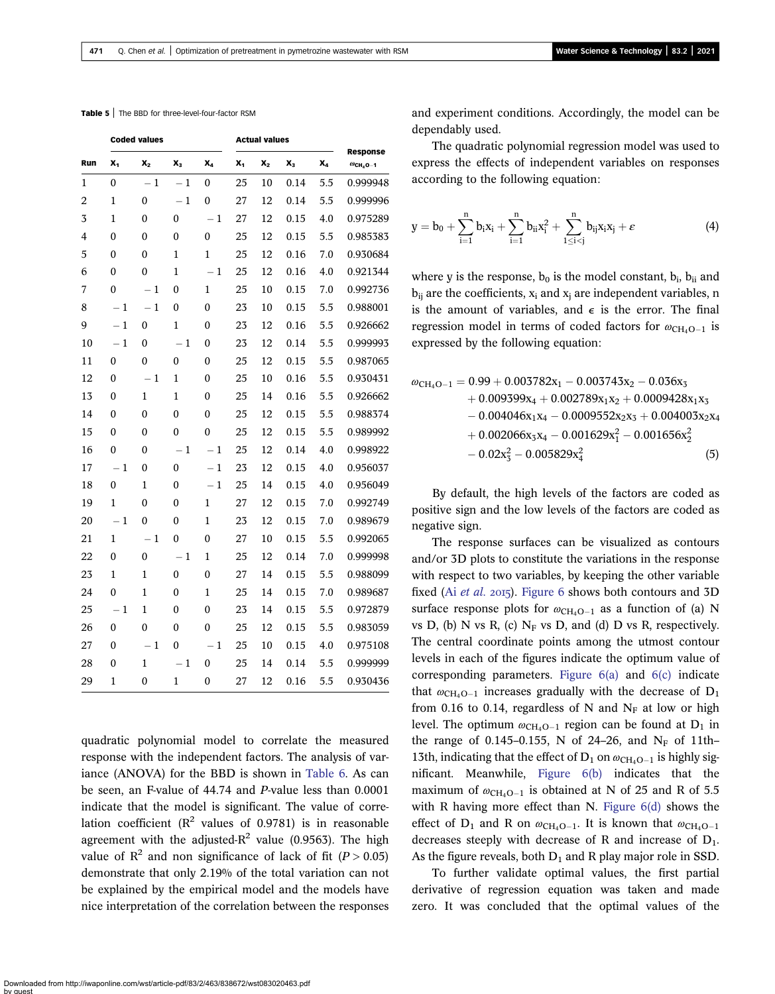#### <span id="page-8-0"></span>Table 5 | The BBD for three-level-four-factor RSM

|     | <b>Coded values</b> |                  |              |              | <b>Actual values</b> |         |       |                |                                          |
|-----|---------------------|------------------|--------------|--------------|----------------------|---------|-------|----------------|------------------------------------------|
| Run | x,                  | $\mathbf{X}_2$   | $X_3$        | X,           | X,                   | $X_{2}$ | $X_3$ | X <sub>4</sub> | Response<br>$\omega$ CH <sub>4</sub> O-1 |
| 1   | 0                   | $-1$             | $-1$         | 0            | 25                   | 10      | 0.14  | 5.5            | 0.999948                                 |
| 2   | $\mathbf{1}$        | $\boldsymbol{0}$ | $-1$         | 0            | 27                   | 12      | 0.14  | 5.5            | 0.999996                                 |
| 3   | 1                   | $\theta$         | 0            | $-1$         | 27                   | 12      | 0.15  | 4.0            | 0.975289                                 |
| 4   | 0                   | 0                | 0            | $\bf{0}$     | 25                   | 12      | 0.15  | 5.5            | 0.985383                                 |
| 5   | $\mathbf{0}$        | 0                | $\mathbf{1}$ | $\mathbf{1}$ | 25                   | 12      | 0.16  | 7.0            | 0.930684                                 |
| 6   | 0                   | 0                | $\mathbf{1}$ | $-1$         | 25                   | 12      | 0.16  | 4.0            | 0.921344                                 |
| 7   | 0                   | $-1$             | 0            | 1            | 25                   | 10      | 0.15  | 7.0            | 0.992736                                 |
| 8   | $-1$                | $-1$             | 0            | $\theta$     | 23                   | 10      | 0.15  | 5.5            | 0.988001                                 |
| 9   | $-1$                | 0                | $\mathbf{1}$ | 0            | 23                   | 12      | 0.16  | 5.5            | 0.926662                                 |
| 10  | $-1$                | $\mathbf{0}$     | $-1$         | 0            | 23                   | 12      | 0.14  | 5.5            | 0.999993                                 |
| 11  | 0                   | 0                | 0            | 0            | 25                   | 12      | 0.15  | 5.5            | 0.987065                                 |
| 12  | $\mathbf{0}$        | $-1$             | $\mathbf{1}$ | 0            | 25                   | 10      | 0.16  | 5.5            | 0.930431                                 |
| 13  | 0                   | 1                | 1            | 0            | 25                   | 14      | 0.16  | 5.5            | 0.926662                                 |
| 14  | 0                   | $\mathbf{0}$     | 0            | 0            | 25                   | 12      | 0.15  | 5.5            | 0.988374                                 |
| 15  | 0                   | 0                | 0            | 0            | 25                   | 12      | 0.15  | 5.5            | 0.989992                                 |
| 16  | 0                   | 0                | $-1$         | $-1$         | 25                   | 12      | 0.14  | 4.0            | 0.998922                                 |
| 17  | $-1$                | 0                | 0            | $-1$         | 23                   | 12      | 0.15  | 4.0            | 0.956037                                 |
| 18  | 0                   | 1                | 0            | $-1$         | 25                   | 14      | 0.15  | 4.0            | 0.956049                                 |
| 19  | $\mathbf{1}$        | 0                | 0            | $\mathbf{1}$ | 27                   | 12      | 0.15  | 7.0            | 0.992749                                 |
| 20  | $-1$                | 0                | 0            | $\mathbf{1}$ | 23                   | 12      | 0.15  | 7.0            | 0.989679                                 |
| 21  | $\mathbf{1}$        | $-1$             | 0            | 0            | 27                   | 10      | 0.15  | 5.5            | 0.992065                                 |
| 22  | $\mathbf{0}$        | $\mathbf{0}$     | $-1$         | $\mathbf{1}$ | 25                   | 12      | 0.14  | 7.0            | 0.999998                                 |
| 23  | 1                   | 1                | 0            | 0            | 27                   | 14      | 0.15  | 5.5            | 0.988099                                 |
| 24  | $\mathbf{0}$        | 1                | 0            | $\mathbf{1}$ | 25                   | 14      | 0.15  | 7.0            | 0.989687                                 |
| 25  | $-1$                | $\mathbf{1}$     | 0            | 0            | 23                   | 14      | 0.15  | 5.5            | 0.972879                                 |
| 26  | 0                   | 0                | 0            | 0            | 25                   | 12      | 0.15  | 5.5            | 0.983059                                 |
| 27  | 0                   | $-1$             | 0            | $-1$         | 25                   | 10      | 0.15  | 4.0            | 0.975108                                 |
| 28  | 0                   | 1                | $-1$         | 0            | 25                   | 14      | 0.14  | 5.5            | 0.999999                                 |
| 29  | $\mathbf 1$         | 0                | 1            | 0            | 27                   | 12      | 0.16  | 5.5            | 0.930436                                 |

quadratic polynomial model to correlate the measured response with the independent factors. The analysis of variance (ANOVA) for the BBD is shown in [Table 6.](#page-9-0) As can be seen, an F-value of 44.74 and P-value less than 0.0001 indicate that the model is significant. The value of correlation coefficient ( $R^2$  values of 0.9781) is in reasonable agreement with the adjusted- $R^2$  value (0.9563). The high value of  $\mathbb{R}^2$  and non significance of lack of fit ( $P > 0.05$ ) demonstrate that only 2.19% of the total variation can not be explained by the empirical model and the models have nice interpretation of the correlation between the responses and experiment conditions. Accordingly, the model can be dependably used.

The quadratic polynomial regression model was used to express the effects of independent variables on responses according to the following equation:

$$
y=b_0+\sum_{i=1}^n b_ix_i+\sum_{i=1}^n b_{ii}x_i^2+\sum_{1\leq i < j}^n b_{ij}x_ix_j+\varepsilon\qquad \qquad (4)
$$

where y is the response,  $b_0$  is the model constant,  $b_i$ ,  $b_{ii}$  and  $b_{ii}$  are the coefficients,  $x_i$  and  $x_i$  are independent variables, n is the amount of variables, and  $\epsilon$  is the error. The final regression model in terms of coded factors for  $\omega_{\text{CH}_4O-1}$  is expressed by the following equation:

$$
\begin{aligned} \omega_{\text{CH}_4\text{O}-1}=&\ 0.99+0.003782 x_1-0.003743 x_2-0.036 x_3\\ &+0.009399 x_4+0.002789 x_1 x_2+0.0009428 x_1 x_3\\ &-0.004046 x_1 x_4-0.0009552 x_2 x_3+0.004003 x_2 x_4\\ &+0.002066 x_3 x_4-0.001629 x_1^2-0.001656 x_2^2\\ &-0.02 x_3^2-0.005829 x_4^2\end{aligned} \hspace{0.5cm} (5)
$$

By default, the high levels of the factors are coded as positive sign and the low levels of the factors are coded as negative sign.

The response surfaces can be visualized as contours and/or 3D plots to constitute the variations in the response with respect to two variables, by keeping the other variable fixed (Ai [et al.](#page-10-0) 2015). [Figure 6](#page-9-0) shows both contours and  $3D$ surface response plots for  $\omega_{\text{CH}_4O-1}$  as a function of (a) N vs D, (b) N vs R, (c)  $N_F$  vs D, and (d) D vs R, respectively. The central coordinate points among the utmost contour levels in each of the figures indicate the optimum value of corresponding parameters. [Figure 6\(a\)](#page-9-0) and [6\(c\)](#page-9-0) indicate that  $\omega_{\text{CH}_4O-1}$  increases gradually with the decrease of D<sub>1</sub> from 0.16 to 0.14, regardless of N and  $N_F$  at low or high level. The optimum  $\omega_{\text{CH}_4O-1}$  region can be found at D<sub>1</sub> in the range of 0.145–0.155, N of 24–26, and  $N_F$  of 11th– 13th, indicating that the effect of  $D_1$  on  $\omega_{CH_4O-1}$  is highly significant. Meanwhile, [Figure 6\(b\)](#page-9-0) indicates that the maximum of  $\omega_{\text{CH}_4O-1}$  is obtained at N of 25 and R of 5.5 with R having more effect than N. Figure  $6(d)$  shows the effect of  $D_1$  and R on  $\omega_{\text{CH}_4O-1}$ . It is known that  $\omega_{\text{CH}_4O-1}$ decreases steeply with decrease of R and increase of  $D_1$ . As the figure reveals, both  $D_1$  and R play major role in SSD.

To further validate optimal values, the first partial derivative of regression equation was taken and made zero. It was concluded that the optimal values of the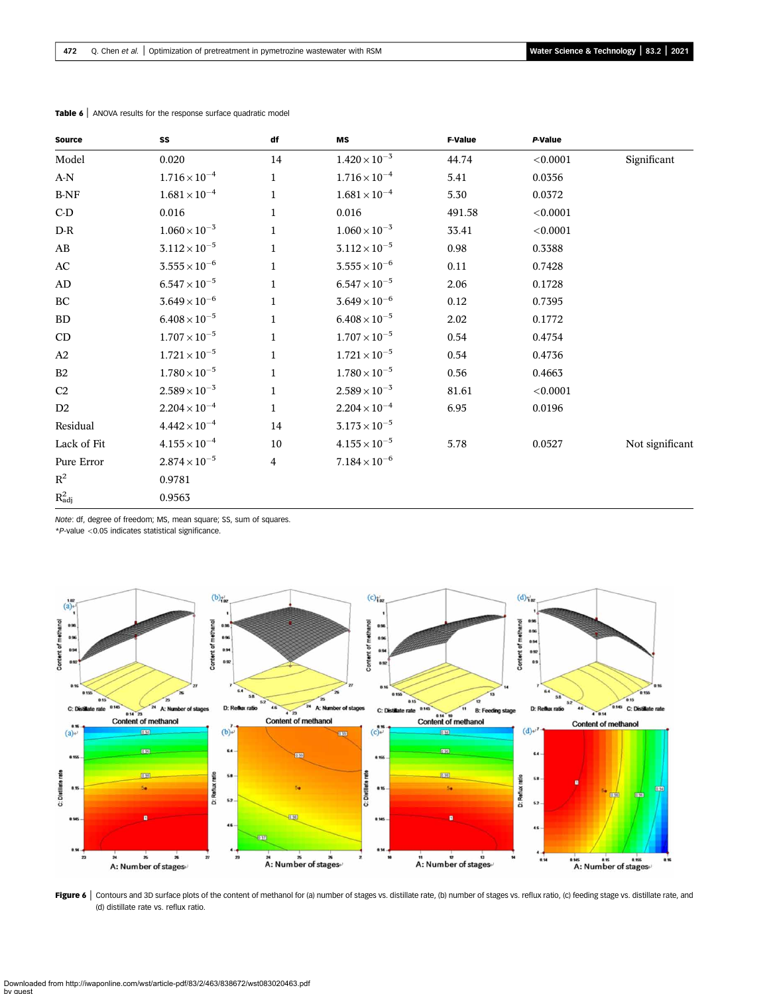| <b>Source</b>                  | SS                     | df           | MS                     | <b>F-Value</b> | P-Value  |                 |
|--------------------------------|------------------------|--------------|------------------------|----------------|----------|-----------------|
| Model                          | 0.020                  | 14           | $1.420 \times 10^{-3}$ | 44.74          | < 0.0001 | Significant     |
| $\mathbf{A}\text{-}\mathbf{N}$ | $1.716 \times 10^{-4}$ | $\mathbf{1}$ | $1.716 \times 10^{-4}$ | 5.41           | 0.0356   |                 |
| $\operatorname{B-NF}$          | $1.681 \times 10^{-4}$ | $\mathbf{1}$ | $1.681 \times 10^{-4}$ | 5.30           | 0.0372   |                 |
| $C-D$                          | 0.016                  | $\mathbf{1}$ | 0.016                  | 491.58         | < 0.0001 |                 |
| $D-R$                          | $1.060 \times 10^{-3}$ | $\mathbf{1}$ | $1.060 \times 10^{-3}$ | 33.41          | < 0.0001 |                 |
| AB                             | $3.112 \times 10^{-5}$ | $\mathbf{1}$ | $3.112 \times 10^{-5}$ | 0.98           | 0.3388   |                 |
| AC                             | $3.555 \times 10^{-6}$ | $\mathbf{1}$ | $3.555 \times 10^{-6}$ | 0.11           | 0.7428   |                 |
| AD                             | $6.547 \times 10^{-5}$ | $\mathbf{1}$ | $6.547 \times 10^{-5}$ | 2.06           | 0.1728   |                 |
| ВC                             | $3.649 \times 10^{-6}$ | $\mathbf{1}$ | $3.649 \times 10^{-6}$ | 0.12           | 0.7395   |                 |
| <b>BD</b>                      | $6.408 \times 10^{-5}$ | $\mathbf{1}$ | $6.408 \times 10^{-5}$ | 2.02           | 0.1772   |                 |
| CD                             | $1.707 \times 10^{-5}$ | $\mathbf{1}$ | $1.707 \times 10^{-5}$ | 0.54           | 0.4754   |                 |
| A2                             | $1.721 \times 10^{-5}$ | $\mathbf{1}$ | $1.721 \times 10^{-5}$ | 0.54           | 0.4736   |                 |
| B2                             | $1.780 \times 10^{-5}$ | $\mathbf{1}$ | $1.780 \times 10^{-5}$ | 0.56           | 0.4663   |                 |
| C <sub>2</sub>                 | $2.589 \times 10^{-3}$ | $\mathbf{1}$ | $2.589 \times 10^{-3}$ | 81.61          | < 0.0001 |                 |
| D <sub>2</sub>                 | $2.204 \times 10^{-4}$ | $\mathbf{1}$ | $2.204 \times 10^{-4}$ | 6.95           | 0.0196   |                 |
| Residual                       | $4.442 \times 10^{-4}$ | 14           | $3.173 \times 10^{-5}$ |                |          |                 |
| Lack of Fit                    | $4.155 \times 10^{-4}$ | 10           | $4.155 \times 10^{-5}$ | 5.78           | 0.0527   | Not significant |
| Pure Error                     | $2.874 \times 10^{-5}$ | 4            | $7.184 \times 10^{-6}$ |                |          |                 |
| $\mathbf{R}^2$                 | 0.9781                 |              |                        |                |          |                 |
| $R_{\rm adj}^2$                | 0.9563                 |              |                        |                |          |                 |

<span id="page-9-0"></span>Table 6 | ANOVA results for the response surface quadratic model

Note: df, degree of freedom; MS, mean square; SS, sum of squares.

\*P-value <0.05 indicates statistical significance.



Figure 6 | Contours and 3D surface plots of the content of methanol for (a) number of stages vs. distillate rate, (b) number of stages vs. reflux ratio, (c) feeding stage vs. distillate rate, and (d) distillate rate vs. reflux ratio.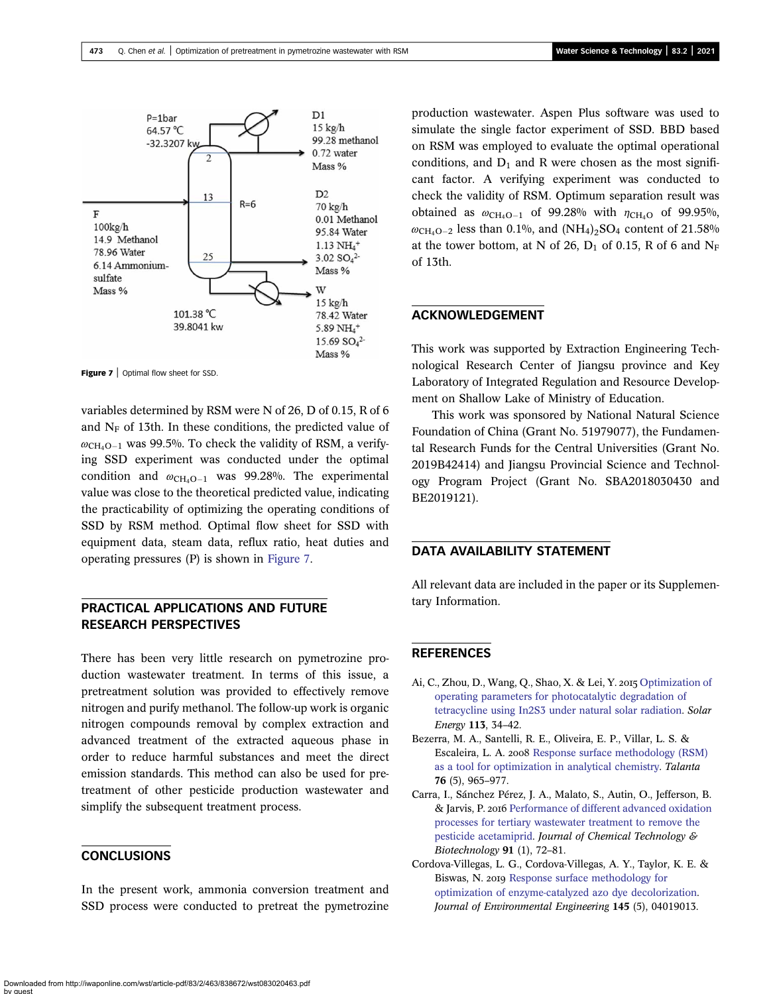<span id="page-10-0"></span>

**Figure 7** | Optimal flow sheet for SSD.

variables determined by RSM were N of 26, D of 0.15, R of 6 and  $N_F$  of 13th. In these conditions, the predicted value of  $\omega_{\text{CH}_4O-1}$  was 99.5%. To check the validity of RSM, a verifying SSD experiment was conducted under the optimal condition and  $\omega_{\text{CH}_4O-1}$  was 99.28%. The experimental value was close to the theoretical predicted value, indicating the practicability of optimizing the operating conditions of SSD by RSM method. Optimal flow sheet for SSD with equipment data, steam data, reflux ratio, heat duties and operating pressures (P) is shown in Figure 7.

# PRACTICAL APPLICATIONS AND FUTURE RESEARCH PERSPECTIVES

There has been very little research on pymetrozine production wastewater treatment. In terms of this issue, a pretreatment solution was provided to effectively remove nitrogen and purify methanol. The follow-up work is organic nitrogen compounds removal by complex extraction and advanced treatment of the extracted aqueous phase in order to reduce harmful substances and meet the direct emission standards. This method can also be used for pretreatment of other pesticide production wastewater and simplify the subsequent treatment process.

## **CONCLUSIONS**

In the present work, ammonia conversion treatment and SSD process were conducted to pretreat the pymetrozine production wastewater. Aspen Plus software was used to simulate the single factor experiment of SSD. BBD based on RSM was employed to evaluate the optimal operational conditions, and  $D_1$  and R were chosen as the most significant factor. A verifying experiment was conducted to check the validity of RSM. Optimum separation result was obtained as  $\omega_{\text{CH}_4O-1}$  of 99.28% with  $\eta_{\text{CH}_4O}$  of 99.95%,  $\omega_{\text{CH}_4O-2}$  less than 0.1%, and (NH<sub>4</sub>)<sub>2</sub>SO<sub>4</sub> content of 21.58% at the tower bottom, at N of 26,  $D_1$  of 0.15, R of 6 and N<sub>F</sub> of 13th.

## ACKNOWLEDGEMENT

This work was supported by Extraction Engineering Technological Research Center of Jiangsu province and Key Laboratory of Integrated Regulation and Resource Development on Shallow Lake of Ministry of Education.

This work was sponsored by National Natural Science Foundation of China (Grant No. 51979077), the Fundamental Research Funds for the Central Universities (Grant No. 2019B42414) and Jiangsu Provincial Science and Technology Program Project (Grant No. SBA2018030430 and BE2019121).

## DATA AVAILABILITY STATEMENT

All relevant data are included in the paper or its Supplementary Information.

## **REFERENCES**

- Ai, C., Zhou, D., Wang, Q., Shao, X. & Lei, Y. 2015 [Optimization of](http://dx.doi.org/10.1016/j.solener.2014.12.022) [operating parameters for photocatalytic degradation of](http://dx.doi.org/10.1016/j.solener.2014.12.022) [tetracycline using In2S3 under natural solar radiation](http://dx.doi.org/10.1016/j.solener.2014.12.022). Solar Energy 113, 34–42.
- Bezerra, M. A., Santelli, R. E., Oliveira, E. P., Villar, L. S. & Escaleira, L. A. 2008 [Response surface methodology \(RSM\)](http://dx.doi.org/10.1016/j.talanta.2008.05.019) [as a tool for optimization in analytical chemistry.](http://dx.doi.org/10.1016/j.talanta.2008.05.019) Talanta 76 (5), 965–977.
- Carra, I., Sánchez Pérez, J. A., Malato, S., Autin, O., Jefferson, B. & Jarvis, P. 2016 [Performance of different advanced oxidation](http://dx.doi.org/10.1002/jctb.4577) [processes for tertiary wastewater treatment to remove the](http://dx.doi.org/10.1002/jctb.4577) [pesticide acetamiprid.](http://dx.doi.org/10.1002/jctb.4577) Journal of Chemical Technology & Biotechnology 91 (1), 72–81.
- Cordova-Villegas, L. G., Cordova-Villegas, A. Y., Taylor, K. E. & Biswas, N. 2019 [Response surface methodology for](http://dx.doi.org/10.1061/(ASCE)EE.1943-7870.0001513) [optimization of enzyme-catalyzed azo dye decolorization](http://dx.doi.org/10.1061/(ASCE)EE.1943-7870.0001513). Journal of Environmental Engineering 145 (5), 04019013.